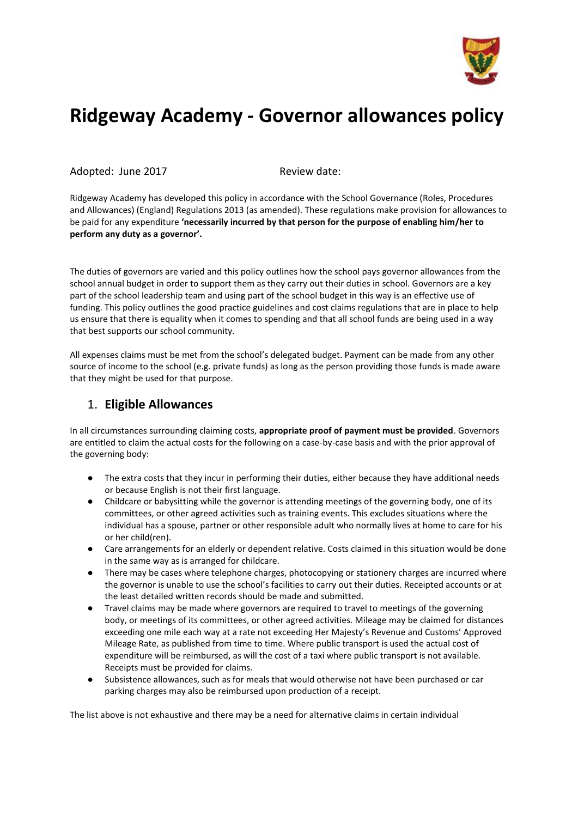

## **Ridgeway Academy - Governor allowances policy**

Adopted: June 2017 Review date:

Ridgeway Academy has developed this policy in accordance with the School Governance (Roles, Procedures and Allowances) (England) Regulations 2013 (as amended). These regulations make provision for allowances to be paid for any expenditure **'necessarily incurred by that person for the purpose of enabling him/her to perform any duty as a governor'.**

The duties of governors are varied and this policy outlines how the school pays governor allowances from the school annual budget in order to support them as they carry out their duties in school. Governors are a key part of the school leadership team and using part of the school budget in this way is an effective use of funding. This policy outlines the good practice guidelines and cost claims regulations that are in place to help us ensure that there is equality when it comes to spending and that all school funds are being used in a way that best supports our school community.

All expenses claims must be met from the school's delegated budget. Payment can be made from any other source of income to the school (e.g. private funds) as long as the person providing those funds is made aware that they might be used for that purpose.

## 1. **Eligible Allowances**

In all circumstances surrounding claiming costs, **appropriate proof of payment must be provided**. Governors are entitled to claim the actual costs for the following on a case-by-case basis and with the prior approval of the governing body:

- The extra costs that they incur in performing their duties, either because they have additional needs or because English is not their first language.
- Childcare or babysitting while the governor is attending meetings of the governing body, one of its committees, or other agreed activities such as training events. This excludes situations where the individual has a spouse, partner or other responsible adult who normally lives at home to care for his or her child(ren).
- Care arrangements for an elderly or dependent relative. Costs claimed in this situation would be done in the same way as is arranged for childcare.
- There may be cases where telephone charges, photocopying or stationery charges are incurred where the governor is unable to use the school's facilities to carry out their duties. Receipted accounts or at the least detailed written records should be made and submitted.
- Travel claims may be made where governors are required to travel to meetings of the governing body, or meetings of its committees, or other agreed activities. Mileage may be claimed for distances exceeding one mile each way at a rate not exceeding Her Majesty's Revenue and Customs' Approved Mileage Rate, as published from time to time. Where public transport is used the actual cost of expenditure will be reimbursed, as will the cost of a taxi where public transport is not available. Receipts must be provided for claims.
- Subsistence allowances, such as for meals that would otherwise not have been purchased or car parking charges may also be reimbursed upon production of a receipt.

The list above is not exhaustive and there may be a need for alternative claims in certain individual